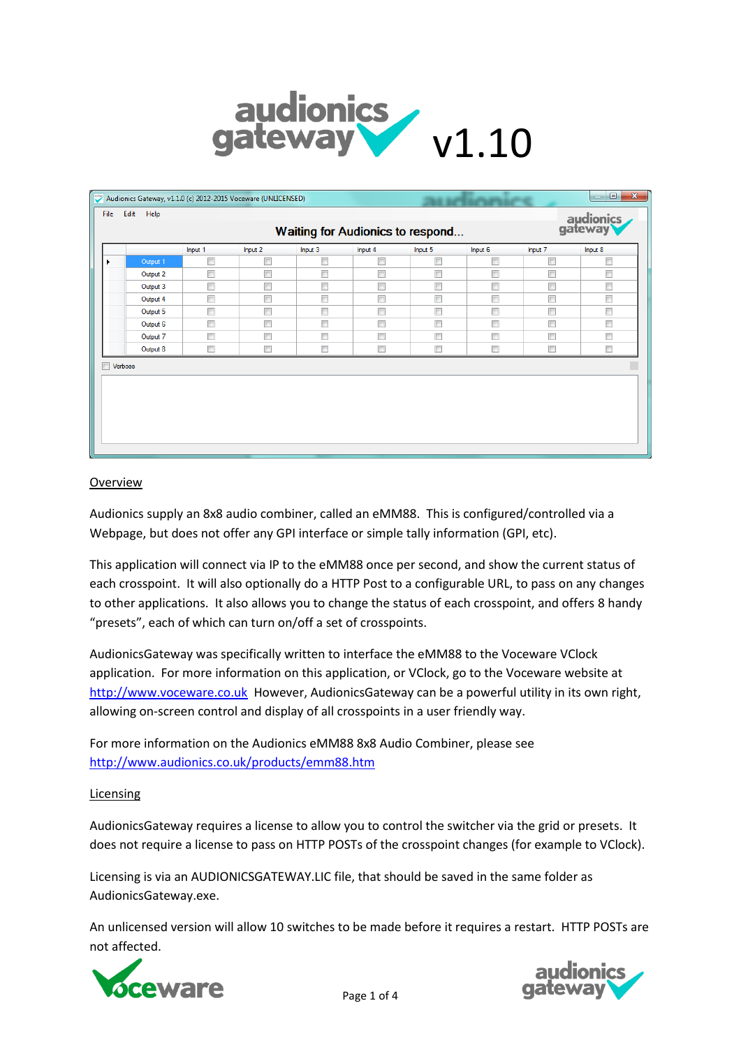

| File           | Edit Help | Audionics Gateway, v1.1.0 (c) 2012-2015 Voceware (UNLICENSED) |                          |         |                                  |         |                          |         | $\mathbf{x}$<br>$\Box$<br>$\Box$ |
|----------------|-----------|---------------------------------------------------------------|--------------------------|---------|----------------------------------|---------|--------------------------|---------|----------------------------------|
|                |           |                                                               |                          |         | Waiting for Audionics to respond |         |                          |         | audionics<br>gateway             |
|                |           | Input 1                                                       | Input 2                  | Input 3 | Input 4                          | Input 5 | Input 6                  | Input 7 | Input 8                          |
|                | Output 1  | $\Box$                                                        | $\Box$                   | Г       | $\Box$                           | $\Box$  | $\Box$                   | $\Box$  | $\Box$                           |
|                | Output 2  | $\Box$                                                        | $\overline{\phantom{a}}$ | F       | $\Box$                           | $\Box$  | $\blacksquare$           | $\Box$  | $\Box$                           |
|                | Output 3  | $\Box$                                                        | $\overline{\phantom{a}}$ | П       | $\blacksquare$                   | $\Box$  | $\Box$                   | $\Box$  | $\Box$                           |
|                | Output 4  | $\Box$                                                        | $\overline{\phantom{a}}$ | $\Box$  | $\Box$                           | $\Box$  | $\overline{\phantom{a}}$ | $\Box$  | $\Box$                           |
|                | Output 5  | $\Box$                                                        | $\Box$                   | П       | $\Box$                           | $\Box$  | $\Box$                   | $\Box$  | $\Box$                           |
|                | Output 6  | $\Box$                                                        | $\Box$                   | П       | $\Box$                           | $\Box$  | $\Box$                   | $\Box$  | $\Box$                           |
|                | Output 7  | $\Box$                                                        | $\Box$                   | П       | $\Box$                           | $\Box$  | $\Box$                   | $\Box$  | $\Box$                           |
|                | Output 8  | $\Box$                                                        | $\blacksquare$           | Г       | $\Box$                           | $\Box$  | $\Box$                   | $\Box$  | F                                |
| <b>Nerbose</b> |           |                                                               |                          |         |                                  |         |                          |         |                                  |
|                |           |                                                               |                          |         |                                  |         |                          |         |                                  |

## **Overview**

Audionics supply an 8x8 audio combiner, called an eMM88. This is configured/controlled via a Webpage, but does not offer any GPI interface or simple tally information (GPI, etc).

This application will connect via IP to the eMM88 once per second, and show the current status of each crosspoint. It will also optionally do a HTTP Post to a configurable URL, to pass on any changes to other applications. It also allows you to change the status of each crosspoint, and offers 8 handy "presets", each of which can turn on/off a set of crosspoints.

AudionicsGateway was specifically written to interface the eMM88 to the Voceware VClock application. For more information on this application, or VClock, go to the Voceware website at [http://www.voceware.co.uk](http://www.voceware.co.uk/) However, AudionicsGateway can be a powerful utility in its own right, allowing on-screen control and display of all crosspoints in a user friendly way.

For more information on the Audionics eMM88 8x8 Audio Combiner, please see <http://www.audionics.co.uk/products/emm88.htm>

## Licensing

AudionicsGateway requires a license to allow you to control the switcher via the grid or presets. It does not require a license to pass on HTTP POSTs of the crosspoint changes (for example to VClock).

Licensing is via an AUDIONICSGATEWAY.LIC file, that should be saved in the same folder as AudionicsGateway.exe.

An unlicensed version will allow 10 switches to be made before it requires a restart. HTTP POSTs are not affected.



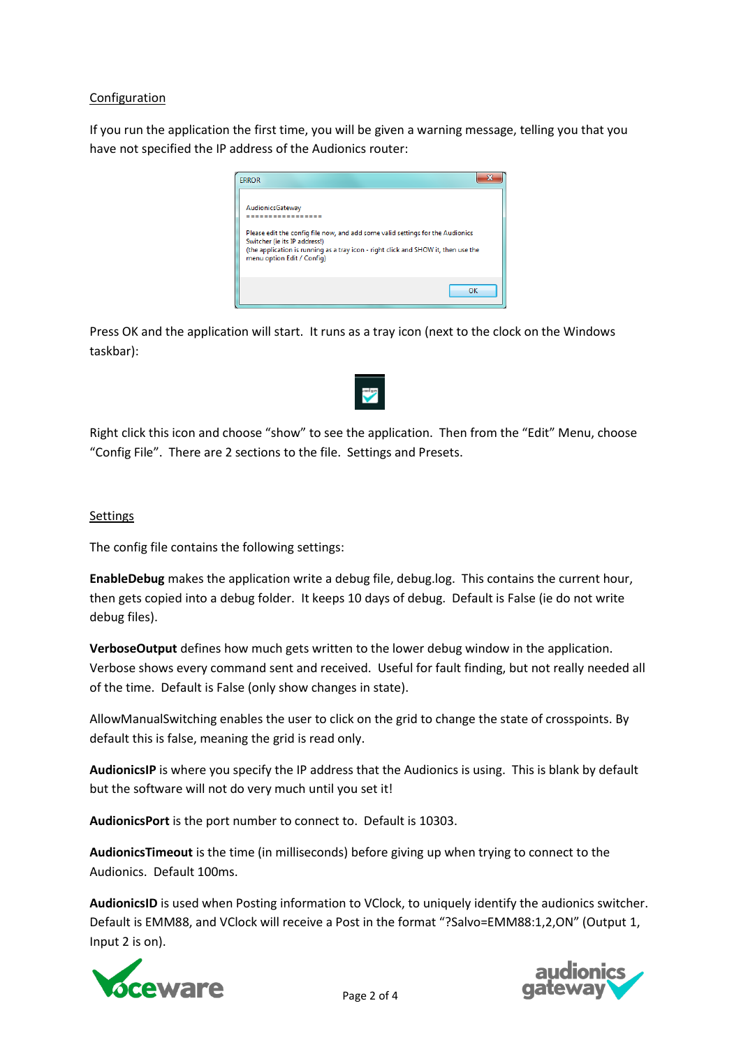# Configuration

If you run the application the first time, you will be given a warning message, telling you that you have not specified the IP address of the Audionics router:



Press OK and the application will start. It runs as a tray icon (next to the clock on the Windows taskbar):



Right click this icon and choose "show" to see the application. Then from the "Edit" Menu, choose "Config File". There are 2 sections to the file. Settings and Presets.

## **Settings**

The config file contains the following settings:

**EnableDebug** makes the application write a debug file, debug.log. This contains the current hour, then gets copied into a debug folder. It keeps 10 days of debug. Default is False (ie do not write debug files).

**VerboseOutput** defines how much gets written to the lower debug window in the application. Verbose shows every command sent and received. Useful for fault finding, but not really needed all of the time. Default is False (only show changes in state).

AllowManualSwitching enables the user to click on the grid to change the state of crosspoints. By default this is false, meaning the grid is read only.

**AudionicsIP** is where you specify the IP address that the Audionics is using. This is blank by default but the software will not do very much until you set it!

**AudionicsPort** is the port number to connect to. Default is 10303.

**AudionicsTimeout** is the time (in milliseconds) before giving up when trying to connect to the Audionics. Default 100ms.

**AudionicsID** is used when Posting information to VClock, to uniquely identify the audionics switcher. Default is EMM88, and VClock will receive a Post in the format "?Salvo=EMM88:1,2,ON" (Output 1, Input 2 is on).



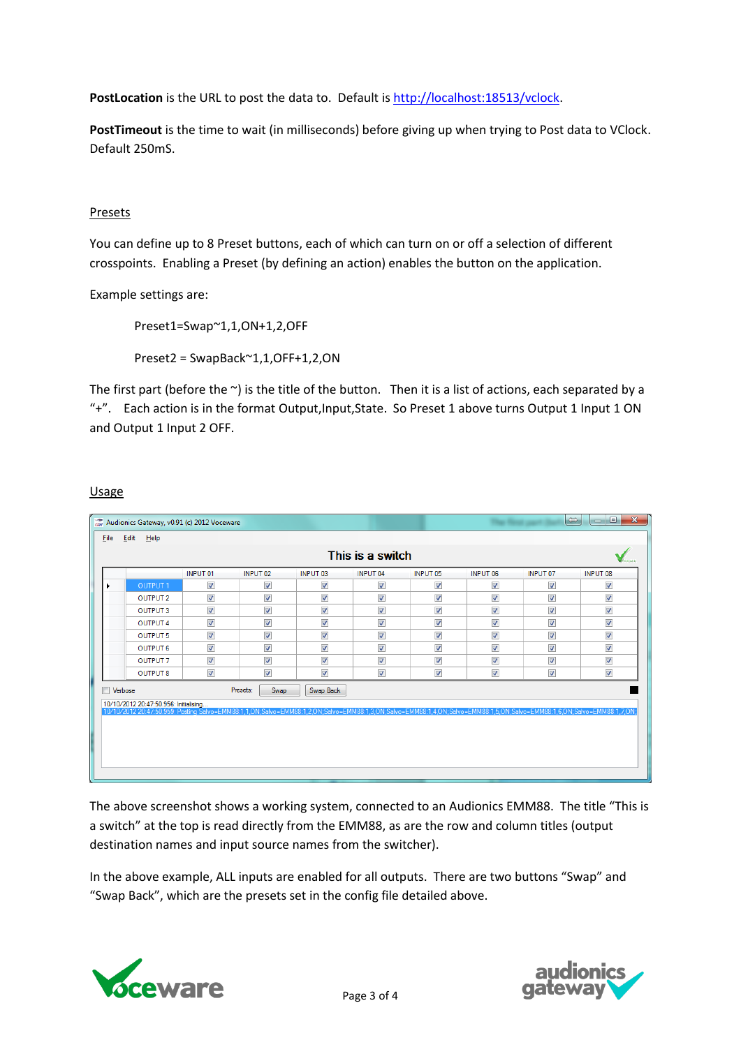PostLocation is the URL to post the data to. Default is [http://localhost:18513/vclock.](http://localhost:18513/vclock)

**PostTimeout** is the time to wait (in milliseconds) before giving up when trying to Post data to VClock. Default 250mS.

# Presets

You can define up to 8 Preset buttons, each of which can turn on or off a selection of different crosspoints. Enabling a Preset (by defining an action) enables the button on the application.

Example settings are:

Preset1=Swap~1,1,ON+1,2,OFF

Preset2 = SwapBack~1,1,OFF+1,2,ON

The first part (before the  $\sim$ ) is the title of the button. Then it is a list of actions, each separated by a "+". Each action is in the format Output,Input,State. So Preset 1 above turns Output 1 Input 1 ON and Output 1 Input 2 OFF.

## **Usage**

| <b>Eile</b>    | Edit<br>$He$ lp     |                          |                                                                                                                                                                                                |                         |                         |                          |                          |                         |                         |
|----------------|---------------------|--------------------------|------------------------------------------------------------------------------------------------------------------------------------------------------------------------------------------------|-------------------------|-------------------------|--------------------------|--------------------------|-------------------------|-------------------------|
|                |                     |                          |                                                                                                                                                                                                |                         | This is a switch        |                          |                          |                         |                         |
|                |                     | <b>INPUT 01</b>          | INPUT <sub>02</sub>                                                                                                                                                                            | INPUT <sub>03</sub>     | <b>INPUT 04</b>         | <b>INPUT 05</b>          | <b>INPUT 06</b>          | INPUT <sub>07</sub>     | <b>INPUT 08</b>         |
|                | OUTPUT <sub>1</sub> | $\overline{\mathsf{v}}$  | $\overline{\mathbf{v}}$                                                                                                                                                                        | V                       | $\overline{\mathsf{v}}$ | $\overline{\mathbf{v}}$  | $\overline{\mathcal{L}}$ | $\overline{\mathbf{v}}$ | $\overline{\mathbf{v}}$ |
|                | <b>OUTPUT 2</b>     | $\overline{\mathsf{v}}$  | √                                                                                                                                                                                              | V                       | V                       | $\overline{\mathcal{A}}$ | ∛                        | V                       | $\overline{\mathsf{v}}$ |
|                | <b>OUTPUT 3</b>     | $\overline{\mathsf{v}}$  | √                                                                                                                                                                                              | V                       | V                       | $\sqrt{ }$               | ∛                        | V                       | $\overline{\mathsf{v}}$ |
|                | <b>OUTPUT 4</b>     | $\overline{\mathsf{v}}$  | $\overline{\mathsf{v}}$                                                                                                                                                                        | V                       | $\overline{\mathsf{v}}$ | $\sqrt{2}$               | $\overline{\mathbf{v}}$  | V                       | $\overline{\mathsf{v}}$ |
|                | <b>OUTPUT 5</b>     | $\overline{\mathsf{v}}$  | $\overline{\mathsf{v}}$                                                                                                                                                                        | $\overline{\mathsf{v}}$ | $\overline{\mathsf{v}}$ | $\sqrt{2}$               | $\overline{\mathcal{J}}$ | $\overline{\mathsf{v}}$ | $\overline{\mathsf{v}}$ |
|                | <b>OUTPUT 6</b>     | $\overline{\mathsf{v}}$  | $\overline{\mathcal{J}}$                                                                                                                                                                       | V                       | $\overline{v}$          | $\overline{\mathsf{v}}$  | $\overline{\mathbf{v}}$  | $\overline{\mathsf{v}}$ | $\overline{v}$          |
|                | <b>OUTPUT 7</b>     | $\overline{\mathcal{A}}$ | $\overline{\mathsf{v}}$                                                                                                                                                                        | V                       | V                       | $\overline{\mathsf{v}}$  | $\overline{\mathbf{v}}$  | V                       | $\overline{\mathbf{v}}$ |
|                | <b>OUTPUT 8</b>     | $\overline{\mathbf{v}}$  | ∛                                                                                                                                                                                              | V                       | V                       | $\overline{\mathsf{v}}$  | $\overline{\mathbf{v}}$  | V                       | $\overline{\mathsf{v}}$ |
| <b>Nerbose</b> |                     |                          | Presets:<br>Swap                                                                                                                                                                               | Swap Back               |                         |                          |                          |                         |                         |
|                |                     |                          |                                                                                                                                                                                                |                         |                         |                          |                          |                         |                         |
|                |                     |                          | .10/10/2012 20:47:50.956: Initialising<br> 10/10/2012 20:47:50.959: Posting Salvo=EMM88:1,1,ON;Salvo=EMM88:1,2,ON;Salvo=EMM88:1,3,ON;Salvo=EMM88:1,5,ON;Salvo=EMM88:1,6,ON;Salvo=EMM88:1,7,ON; |                         |                         |                          |                          |                         |                         |
|                |                     |                          |                                                                                                                                                                                                |                         |                         |                          |                          |                         |                         |
|                |                     |                          |                                                                                                                                                                                                |                         |                         |                          |                          |                         |                         |
|                |                     |                          |                                                                                                                                                                                                |                         |                         |                          |                          |                         |                         |
|                |                     |                          |                                                                                                                                                                                                |                         |                         |                          |                          |                         |                         |

The above screenshot shows a working system, connected to an Audionics EMM88. The title "This is a switch" at the top is read directly from the EMM88, as are the row and column titles (output destination names and input source names from the switcher).

In the above example, ALL inputs are enabled for all outputs. There are two buttons "Swap" and "Swap Back", which are the presets set in the config file detailed above.